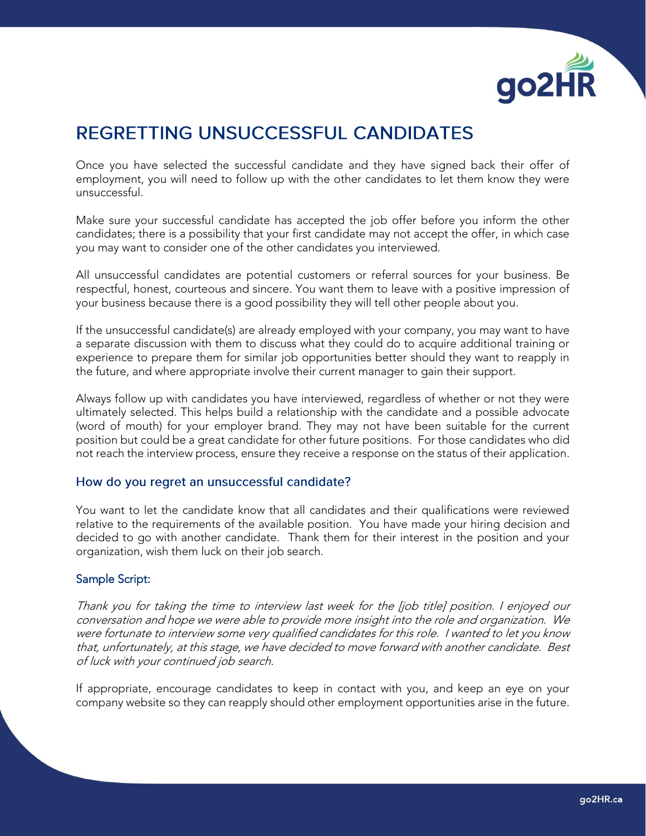

## REGRETTING UNSUCCESSFUL CANDIDATES

Once you have selected the successful candidate and they have signed back their offer of employment, you will need to follow up with the other candidates to let them know they were unsuccessful.

Make sure your successful candidate has accepted the job offer before you inform the other candidates; there is a possibility that your first candidate may not accept the offer, in which case you may want to consider one of the other candidates you interviewed.

All unsuccessful candidates are potential customers or referral sources for your business. Be respectful, honest, courteous and sincere. You want them to leave with a positive impression of your business because there is a good possibility they will tell other people about you.

If the unsuccessful candidate(s) are already employed with your company, you may want to have a separate discussion with them to discuss what they could do to acquire additional training or experience to prepare them for similar job opportunities better should they want to reapply in the future, and where appropriate involve their current manager to gain their support.

Always follow up with candidates you have interviewed, regardless of whether or not they were ultimately selected. This helps build a relationship with the candidate and a possible advocate (word of mouth) for your employer brand. They may not have been suitable for the current position but could be a great candidate for other future positions. For those candidates who did not reach the interview process, ensure they receive a response on the status of their application.

## How do you regret an unsuccessful candidate?

You want to let the candidate know that all candidates and their qualifications were reviewed relative to the requirements of the available position. You have made your hiring decision and decided to go with another candidate. Thank them for their interest in the position and your organization, wish them luck on their job search.

## Sample Script:

Thank you for taking the time to interview last week for the [job title] position. I enjoyed our conversation and hope we were able to provide more insight into the role and organization. We were fortunate to interview some very qualified candidates for this role. I wanted to let you know that, unfortunately, at this stage, we have decided to move forward with another candidate. Best of luck with your continued job search.

If appropriate, encourage candidates to keep in contact with you, and keep an eye on your company website so they can reapply should other employment opportunities arise in the future.